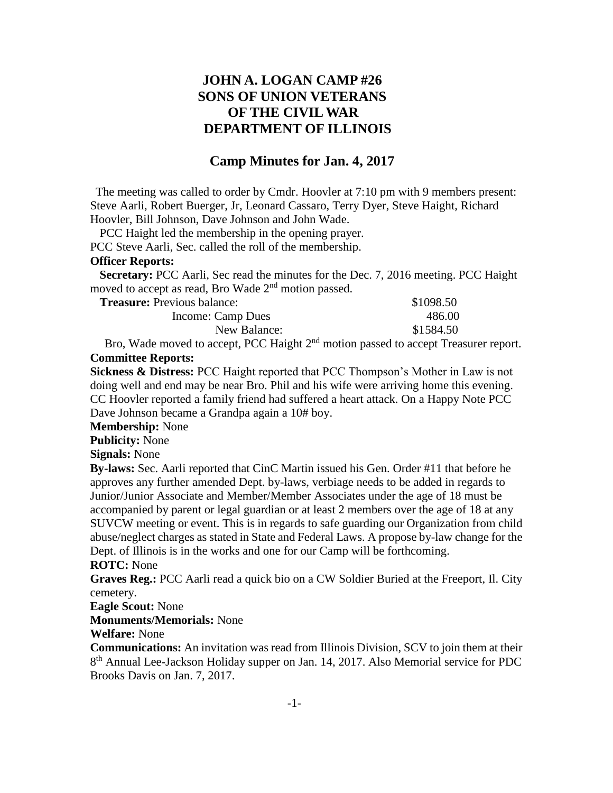## **JOHN A. LOGAN CAMP #26 SONS OF UNION VETERANS OF THE CIVIL WAR DEPARTMENT OF ILLINOIS**

## **Camp Minutes for Jan. 4, 2017**

The meeting was called to order by Cmdr. Hoovler at 7:10 pm with 9 members present: Steve Aarli, Robert Buerger, Jr, Leonard Cassaro, Terry Dyer, Steve Haight, Richard Hoovler, Bill Johnson, Dave Johnson and John Wade.

PCC Haight led the membership in the opening prayer.

PCC Steve Aarli, Sec. called the roll of the membership.

## **Officer Reports:**

 **Secretary:** PCC Aarli, Sec read the minutes for the Dec. 7, 2016 meeting. PCC Haight moved to accept as read, Bro Wade 2nd motion passed.

| <b>Treasure:</b> Previous balance: | \$1098.50 |
|------------------------------------|-----------|
| Income: Camp Dues                  | 486.00    |
| New Balance:                       | \$1584.50 |

Bro, Wade moved to accept, PCC Haight 2<sup>nd</sup> motion passed to accept Treasurer report. **Committee Reports:**

**Sickness & Distress:** PCC Haight reported that PCC Thompson's Mother in Law is not doing well and end may be near Bro. Phil and his wife were arriving home this evening. CC Hoovler reported a family friend had suffered a heart attack. On a Happy Note PCC Dave Johnson became a Grandpa again a 10# boy.

**Membership:** None

**Publicity:** None

**Signals:** None

**By-laws:** Sec. Aarli reported that CinC Martin issued his Gen. Order #11 that before he approves any further amended Dept. by-laws, verbiage needs to be added in regards to Junior/Junior Associate and Member/Member Associates under the age of 18 must be accompanied by parent or legal guardian or at least 2 members over the age of 18 at any SUVCW meeting or event. This is in regards to safe guarding our Organization from child abuse/neglect charges as stated in State and Federal Laws. A propose by-law change for the Dept. of Illinois is in the works and one for our Camp will be forthcoming.

## **ROTC:** None

**Graves Reg.:** PCC Aarli read a quick bio on a CW Soldier Buried at the Freeport, Il. City cemetery.

**Eagle Scout:** None

**Monuments/Memorials:** None

**Welfare:** None

**Communications:** An invitation was read from Illinois Division, SCV to join them at their 8<sup>th</sup> Annual Lee-Jackson Holiday supper on Jan. 14, 2017. Also Memorial service for PDC Brooks Davis on Jan. 7, 2017.